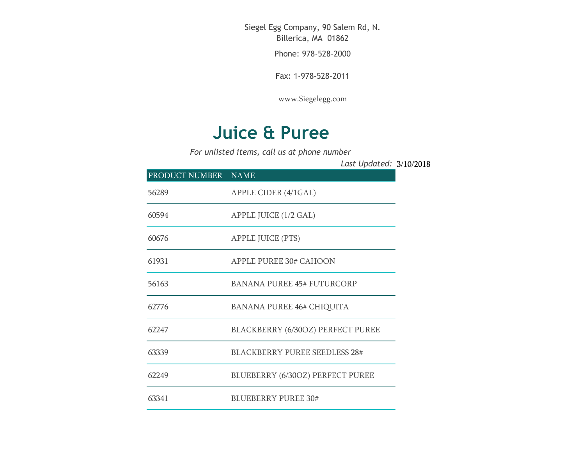Siegel Egg Company, 90 Salem Rd, N. Billerica, MA 01862

Phone: 978-528-2000

Fax: 1-978-528-2011

[www.Siegelegg.com](http://www.siegelegg.com/)

## **Juice & Puree**

*For unlisted items, call us at phone number*

3/10/2018 *Last Updated:*PRODUCT NUMBER NAME APPLE CIDER (4/1GAL) APPLE JUICE (1/2 GAL) APPLE JUICE (PTS) APPLE PUREE 30# CAHOON BANANA PUREE 45# FUTURCORP BANANA PUREE 46# CHIQUITA BLACKBERRY (6/30OZ) PERFECT PUREE BLACKBERRY PUREE SEEDLESS 28# BLUEBERRY (6/30OZ) PERFECT PUREE BLUEBERRY PUREE 30#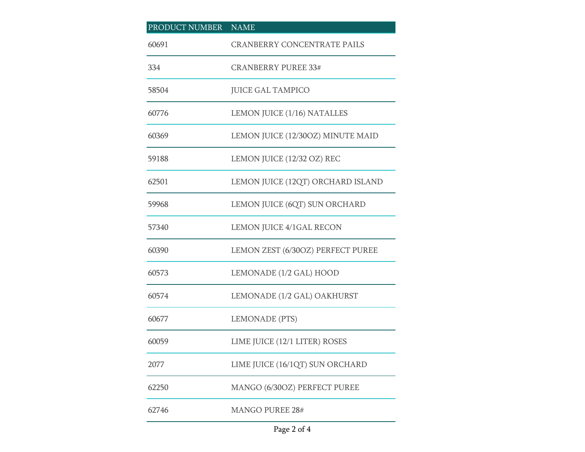| PRODUCT NUMBER NAME |                                    |
|---------------------|------------------------------------|
| 60691               | <b>CRANBERRY CONCENTRATE PAILS</b> |
| 334                 | <b>CRANBERRY PUREE 33#</b>         |
| 58504               | <b>JUICE GAL TAMPICO</b>           |
| 60776               | LEMON JUICE (1/16) NATALLES        |
| 60369               | LEMON JUICE (12/30OZ) MINUTE MAID  |
| 59188               | LEMON JUICE (12/32 OZ) REC         |
| 62501               | LEMON JUICE (12QT) ORCHARD ISLAND  |
| 59968               | LEMON JUICE (6QT) SUN ORCHARD      |
| 57340               | LEMON JUICE 4/1GAL RECON           |
| 60390               | LEMON ZEST (6/30OZ) PERFECT PUREE  |
| 60573               | LEMONADE (1/2 GAL) HOOD            |
| 60574               | LEMONADE (1/2 GAL) OAKHURST        |
| 60677               | LEMONADE (PTS)                     |
| 60059               | LIME JUICE (12/1 LITER) ROSES      |
| 2077                | LIME JUICE (16/1QT) SUN ORCHARD    |
| 62250               | MANGO (6/30OZ) PERFECT PUREE       |
| 62746               | <b>MANGO PUREE 28#</b>             |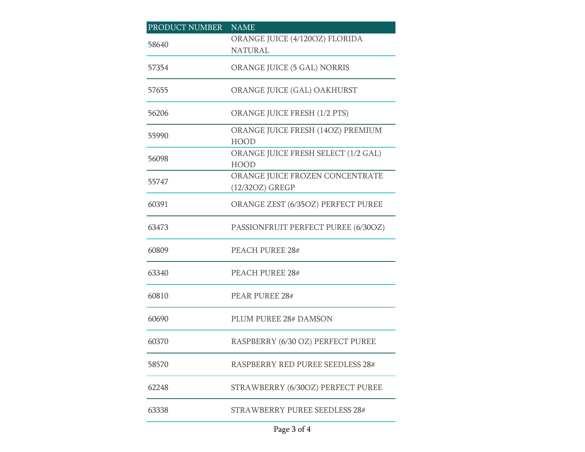| PRODUCT NUMBER | <b>NAME</b>                                        |
|----------------|----------------------------------------------------|
| 58640          | ORANGE JUICE (4/120OZ) FLORIDA<br><b>NATURAL</b>   |
| 57354          | ORANGE JUICE (5 GAL) NORRIS                        |
| 57655          | ORANGE JUICE (GAL) OAKHURST                        |
| 56206          | ORANGE JUICE FRESH (1/2 PTS)                       |
| 55990          | ORANGE JUICE FRESH (14OZ) PREMIUM<br><b>HOOD</b>   |
| 56098          | ORANGE JUICE FRESH SELECT (1/2 GAL)<br><b>HOOD</b> |
| 55747          | ORANGE JUICE FROZEN CONCENTRATE<br>(12/32OZ) GREGP |
| 60391          | ORANGE ZEST (6/35OZ) PERFECT PUREE                 |
| 63473          | PASSIONFRUIT PERFECT PUREE (6/30OZ)                |
| 60809          | PEACH PUREE 28#                                    |
| 63340          | <b>PEACH PUREE 28#</b>                             |
| 60810          | <b>PEAR PUREE 28#</b>                              |
| 60690          | PLUM PUREE 28# DAMSON                              |
| 60370          | RASPBERRY (6/30 OZ) PERFECT PUREE                  |
| 58570          | <b>RASPBERRY RED PUREE SEEDLESS 28#</b>            |
| 62248          | STRAWBERRY (6/30OZ) PERFECT PUREE                  |
| 63338          | STRAWBERRY PUREE SEEDLESS 28#                      |